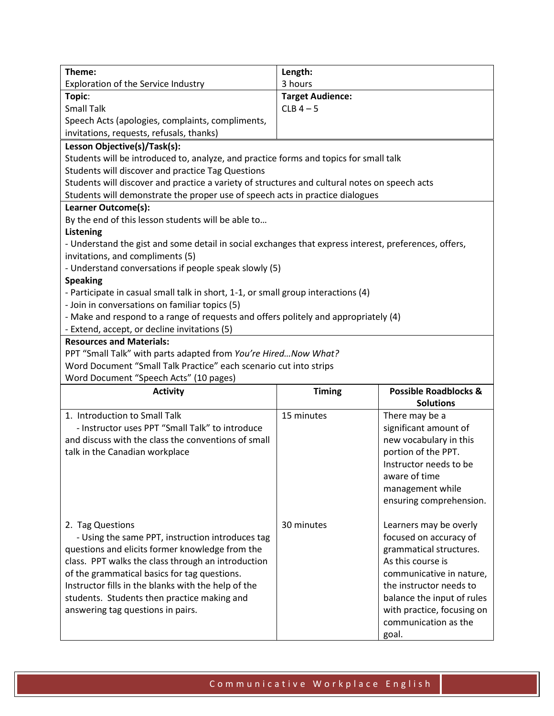| Theme:                                                                                                                              | Length:                 |                                  |  |
|-------------------------------------------------------------------------------------------------------------------------------------|-------------------------|----------------------------------|--|
| Exploration of the Service Industry                                                                                                 | 3 hours                 |                                  |  |
| Topic:                                                                                                                              | <b>Target Audience:</b> |                                  |  |
| <b>Small Talk</b>                                                                                                                   | $CLB$ 4 - 5             |                                  |  |
| Speech Acts (apologies, complaints, compliments,                                                                                    |                         |                                  |  |
| invitations, requests, refusals, thanks)                                                                                            |                         |                                  |  |
| Lesson Objective(s)/Task(s):                                                                                                        |                         |                                  |  |
| Students will be introduced to, analyze, and practice forms and topics for small talk                                               |                         |                                  |  |
| Students will discover and practice Tag Questions                                                                                   |                         |                                  |  |
| Students will discover and practice a variety of structures and cultural notes on speech acts                                       |                         |                                  |  |
| Students will demonstrate the proper use of speech acts in practice dialogues                                                       |                         |                                  |  |
| Learner Outcome(s):                                                                                                                 |                         |                                  |  |
| By the end of this lesson students will be able to                                                                                  |                         |                                  |  |
| <b>Listening</b>                                                                                                                    |                         |                                  |  |
| - Understand the gist and some detail in social exchanges that express interest, preferences, offers,                               |                         |                                  |  |
| invitations, and compliments (5)                                                                                                    |                         |                                  |  |
| - Understand conversations if people speak slowly (5)                                                                               |                         |                                  |  |
| <b>Speaking</b>                                                                                                                     |                         |                                  |  |
| - Participate in casual small talk in short, 1-1, or small group interactions (4)<br>- Join in conversations on familiar topics (5) |                         |                                  |  |
| - Make and respond to a range of requests and offers politely and appropriately (4)                                                 |                         |                                  |  |
| - Extend, accept, or decline invitations (5)                                                                                        |                         |                                  |  |
| <b>Resources and Materials:</b>                                                                                                     |                         |                                  |  |
| PPT "Small Talk" with parts adapted from You're Hired Now What?                                                                     |                         |                                  |  |
| Word Document "Small Talk Practice" each scenario cut into strips                                                                   |                         |                                  |  |
| Word Document "Speech Acts" (10 pages)                                                                                              |                         |                                  |  |
| <b>Activity</b>                                                                                                                     | <b>Timing</b>           | <b>Possible Roadblocks &amp;</b> |  |
|                                                                                                                                     |                         |                                  |  |
|                                                                                                                                     |                         | <b>Solutions</b>                 |  |
| 1. Introduction to Small Talk                                                                                                       | 15 minutes              | There may be a                   |  |
| - Instructor uses PPT "Small Talk" to introduce                                                                                     |                         | significant amount of            |  |
| and discuss with the class the conventions of small                                                                                 |                         | new vocabulary in this           |  |
| talk in the Canadian workplace                                                                                                      |                         | portion of the PPT.              |  |
|                                                                                                                                     |                         | Instructor needs to be           |  |
|                                                                                                                                     |                         | aware of time                    |  |
|                                                                                                                                     |                         | management while                 |  |
|                                                                                                                                     |                         | ensuring comprehension.          |  |
|                                                                                                                                     |                         |                                  |  |
| 2. Tag Questions                                                                                                                    | 30 minutes              | Learners may be overly           |  |
| - Using the same PPT, instruction introduces tag                                                                                    |                         | focused on accuracy of           |  |
| questions and elicits former knowledge from the                                                                                     |                         | grammatical structures.          |  |
| class. PPT walks the class through an introduction                                                                                  |                         | As this course is                |  |
| of the grammatical basics for tag questions.                                                                                        |                         | communicative in nature,         |  |
| Instructor fills in the blanks with the help of the                                                                                 |                         | the instructor needs to          |  |
| students. Students then practice making and                                                                                         |                         | balance the input of rules       |  |
| answering tag questions in pairs.                                                                                                   |                         | with practice, focusing on       |  |
|                                                                                                                                     |                         | communication as the<br>goal.    |  |